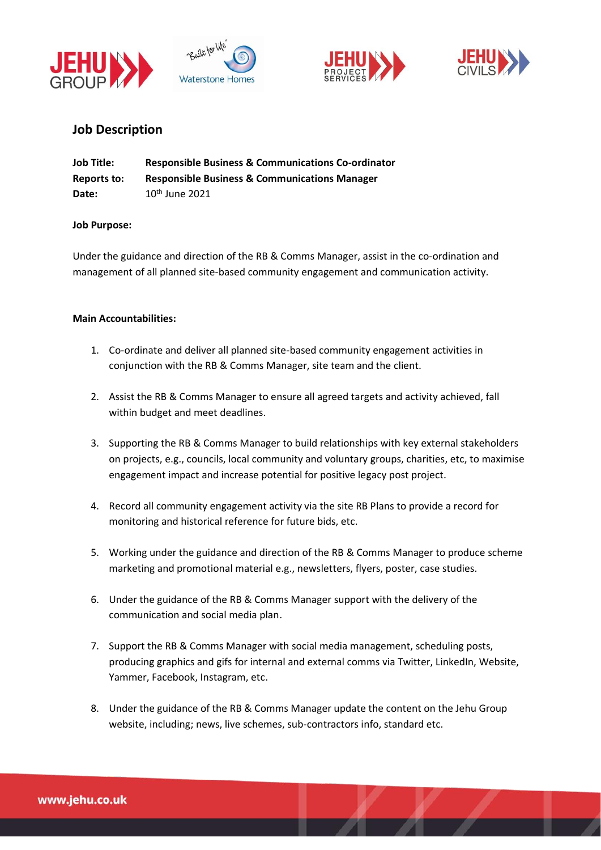







# **Job Description**

| <b>Job Title:</b> | <b>Responsible Business &amp; Communications Co-ordinator</b> |
|-------------------|---------------------------------------------------------------|
| Reports to:       | <b>Responsible Business &amp; Communications Manager</b>      |
| Date:             | $10th$ June 2021                                              |

### **Job Purpose:**

Under the guidance and direction of the RB & Comms Manager, assist in the co-ordination and management of all planned site-based community engagement and communication activity.

### **Main Accountabilities:**

- 1. Co-ordinate and deliver all planned site-based community engagement activities in conjunction with the RB & Comms Manager, site team and the client.
- 2. Assist the RB & Comms Manager to ensure all agreed targets and activity achieved, fall within budget and meet deadlines.
- 3. Supporting the RB & Comms Manager to build relationships with key external stakeholders on projects, e.g., councils, local community and voluntary groups, charities, etc, to maximise engagement impact and increase potential for positive legacy post project.
- 4. Record all community engagement activity via the site RB Plans to provide a record for monitoring and historical reference for future bids, etc.
- 5. Working under the guidance and direction of the RB & Comms Manager to produce scheme marketing and promotional material e.g., newsletters, flyers, poster, case studies.
- 6. Under the guidance of the RB & Comms Manager support with the delivery of the communication and social media plan.
- 7. Support the RB & Comms Manager with social media management, scheduling posts, producing graphics and gifs for internal and external comms via Twitter, LinkedIn, Website, Yammer, Facebook, Instagram, etc.
- 8. Under the guidance of the RB & Comms Manager update the content on the Jehu Group website, including; news, live schemes, sub-contractors info, standard etc.